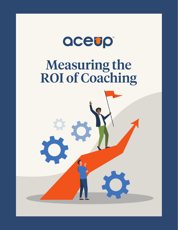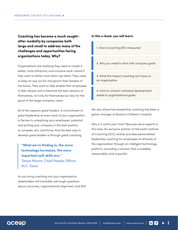**Coaching has become a much soughtafter modality by companies both large and small to address many of the challenges and opportunities facing organizations today. Why?**

Organizations are realizing they need to create a better, more attractive, and inclusive work culture if they want to attract and retain top talent. They need to keep an eye out for and groom their leaders of the future. They want to help enable their employees to feel valued, and to become the best versions of themselves, not only for themselves but also for the good of the larger company vision.

All of this requires great leaders. A commitment to great leadership at every level of your organization is the key to unleashing your employees' potential and putting your company in the best position to compete, win, and thrive. And the best way to develop great leaders is through great coaching.

**"What we're finding is, the more technology increases, the more important soft skills are."**  Tanya Moore, Chief People Officer, M.C. Dean

As you bring coaching into your organization, stakeholders will inevitably ask tough questions about outcomes, organizational alignment, and ROI.

#### **In this e-book, you will learn:**

- **1.** How is coaching ROI measured
- **2.** Why you need to start with company goals
- **3.** What the impact coaching can have on an organization
- **4.** How to connect individual development needs to organizational goals

We also share how leadership coaching has been a game-changer at Boston's Children's Hospital.

Why is it worth your time? Because we're experts in this area. An exclusive partner of Harvard's Institute of Coaching (IOC), AceUp provides personalized leadership coaching for employees at all levels of the organization through an intelligent technology platform, providing a solution that is scalable, measurable, and impactful.

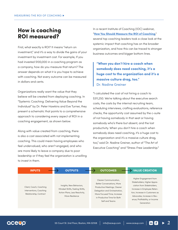## **How is coaching ROI measured?**

First, what exactly is ROI? It means "return on investment," and it's a way to divide the gains of your investment by investment cost. For example, If you had invested \$100,000 in a coaching program as a company, how do you measure that return? The answer depends on what it is you hope to achieve with coaching. Not every outcome can be measured in dollars and cents.

Organizations really want the value that they believe will be created from deploying coaching. In "Systemic Coaching: Delivering Value Beyond the Individual" by Dr. Peter Hawkins and Eve Turner, they present a schematic that points to a comprehensive approach to considering every aspect of ROI in a coaching engagement, as shown below.

Along with value created from coaching, there is also a cost associated with not implementing coaching. This could mean having employees who feel undervalued, who aren't engaged, and who are more likely to leave a company due to poor leadership or if they feel the organization is unwilling to invest in them.

In a recent Institute of Coaching (IOC) webinar, "**[How You Should Measure the ROI of Coaching](https://instituteofcoaching.org/resources/webinar-how-you-should-measure-roi-coaching)**," several top coaching leaders took a close look at the systemic impact that coaching has on the broader organization, and how this can be traced to stronger business outcomes and bigger bottom lines.

**"When you don't hire a coach when somebody does need coaching, it's a huge cost to the organization and it's a massive culture drag, too."**  Dr. Nadine Greiner

"I calculated the cost of not hiring a coach to \$311,250. We're talking about the executive search costs, the costs by the internal recruiting team, scheduling interviews, crafting evaluations, reference checks, the opportunity cost assumed by the c-suite of not having somebody in that seat or having somebody who's there but absent, and the lost productivity. When you don't hire a coach when somebody does need coaching, it's a huge cost to the organization and it's a massive culture drag, too," said Dr. Nadine Greiner, author of "The Art of Executive Coaching" and "Stress-Free Leadership."

| <b>INPUTS</b>                                                                | <b>OUTPUTS</b>                                                                                                   | <b>OUTCOMES</b>                                                                                                                                                                                              | <b>VALUE CREATION</b>                                                                                                                                                                                                               |
|------------------------------------------------------------------------------|------------------------------------------------------------------------------------------------------------------|--------------------------------------------------------------------------------------------------------------------------------------------------------------------------------------------------------------|-------------------------------------------------------------------------------------------------------------------------------------------------------------------------------------------------------------------------------------|
| Client, Coach, Coaching<br>Interventions, Coaching<br>Relationship, Contract | Insights, New Behaviors,<br>Mindset Shifts, Feeling Shifts,<br>Action Plans, Less Reactivity,<br>More Resilience | Clearer Communication,<br><b>Better Conversations, More</b><br>Productive Meetings, Clearer<br>Delegation and Orchestration,<br>More Focused Time, Increase<br>in Productive Time for Both<br>Self and Teams | Higher Engagement from<br>Stakeholders, Higher Appre-<br>ciation from Stakeholders,<br>Increase in Employee Reten-<br>tion, Increase in Customers as<br>Advocates, Increase in Rev-<br>enue, Profitability, or Income<br>Generation |

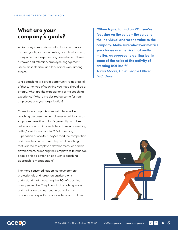# **What are your company's goals?**

While many companies want to focus on futurefocused goals, such as upskilling and development, many others are experiencing issues like employee turnover and retention, employee engagement issues, absenteeism, and lack of inclusion, among others.

While coaching is a great opportunity to address all of these, the type of coaching you need should be a priority. What are the expectations of the coaching experience? What's the desired outcome for your employees and your organization?

"Sometimes companies are just interested in coaching because their employees want it, or as an employee benefit, and that's generally a cookiecutter approach. Our clients tend to want something better," said James Lopata, VP of Coaching Supervision at AceUp. "They've tried the competition and then they come to us. They want coaching that is linked to employee development, leadership development, preparing their employees to manage people or lead better, or lead with a coaching approach to management."

The more seasoned leadership development professionals and larger enterprise clients understand that measuring the ROI of coaching is very subjective. They know that coaching works and that its outcomes need to be tied to the organization's specific goals, strategy, and culture.

**"When trying to find an ROI, you're focusing on the value - the value to the individual and/or the value to the company. Make sure whatever metrics you choose are metrics that really matter, as opposed to getting lost in some of the noise of the activity of creating ROI itself."** Tanya Moore, Chief People Officer, M.C. Dean



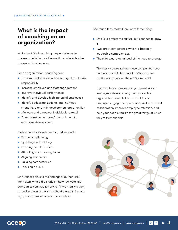## **What is the impact of coaching on an organization?**

While the ROI of coaching may not always be measurable in financial terms, it can absolutely be measured in other ways.

For an organization, coaching can:

- **Empower individuals and encourage them to take** responsibility
- **Increase employee and staff engagement**
- **Improve individual performance**
- Identify and develop high-potential employees
- $\blacktriangleright$  Identify both organizational and individual strengths, along with development opportunities
- Motivate and empower individuals to excel
- Demonstrate a company's commitment to employee development

It also has a long-term impact, helping with:

- Succession planning
- Upskilling and reskilling
- Growing people leaders
- ▶ Attracting and retaining talent
- Aligning leadership
- **Building competencies**
- Focusing on DE&I

Dr. Greiner points to the findings of author Vicki TenHaken, who did a study on how 100-year-old companies continue to survive. "It was really a very extensive piece of work that she did about 15 years ago, that speaks directly to the 'so what'.

She found that, really, there were three things:

- ▶ One is to protect the culture, but continue to grow it.
- Two, grow competence, which is, basically, leadership competencies.
- ▶ The third was to act ahead of the need to change.

This really speaks to how these companies have not only stayed in business for 100 years but continue to grow and thrive," Greiner said.

If your culture improves and you invest in your employees' development, then your entire organization benefits from it. It will boost employee engagement, increase productivity and collaboration, improve employee retention, and help your people realize the great things of which they're truly capable.



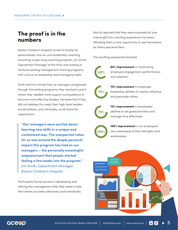# **The proof is in the numbers**

Boston Children's Hospital turned to AceUp for personalized, one-on-one leadership coaching, launching a year-long coaching program. Jim Smith, Department Manager at the time, was looking to reinforce existing management training programs with a focus on leadership and managerial skills.

Smith said he noticed that, as managers progressed through the existing programs, they reached a point where they needed more support and guidance to become more effective leaders. He knew that if they did not address this need, their high-level leaders would plateau, and ultimately, could leave the organization.

**"Our managers were excited about learning new skills in a unique and customized way. The unexpected value for us was around the deeply personal impact this program has had on our managers – the personally meaningful empowerment that people started feeling a few weeks into the program."** Jim Smith, Department Manager, Boston Children's Hospital

Participants found success in developing and refining the management skills they need to help their teams succeed collectively and individually.

And all reported that they were surprised by how meaningful the coaching experience has been, affording them a rare opportunity to see themselves as others perceive them.

The resulting assessment showed:



**60% improvement** in maximizing employee engagement, performance, and retention.



**70% improvement** in employee leadership abilities to inspire, influence, and persuade others.



**70% improvement** in employees' abilities to set goals/priorities and manage time effectively.



**100% improvement** in an employee's own awareness of their strengths and weaknesses.



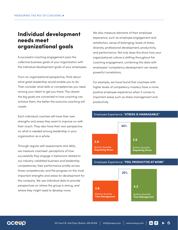## **Individual development needs meet organizational goals**

A successful coaching engagement pairs the collective business goals of your organization with the individual development goals of your employees.

From an organizational perspective, think about what great leadership would enable you to do. Then consider what skills or competencies you need among your talent to get you there. The clearer the big goals are connected to how coaching can achieve them, the better the outcome coaching will create.

Each individual coachee will have their own strengths and areas they want to improve on with their coach. They also have their own perspective on what is needed among leadership in your organization as a whole.

Through regular self-assessments and 360s, we measure coachees' perceptions of how successfully they engage in behaviors related to our industry-validated business and leadership competencies, their performance profile across those competencies, and the progress on the most important strengths and areas for development for the company. We use individual data to provide perspectives on where the group is strong, and where they might need to develop more.

We also measure elements of their employee experience, such as employee engagement and satisfaction, sense of belonging, levels of stress, diversity, professional development, productivity, and performance. Not only does this show how your organizational culture is shifting throughout the coaching engagement, combining this data with employees' competency development can reveal powerful correlations.

For example, we have found that coachees with higher levels of competency mastery have a more positive employee experience when it comes to important areas such as stress management and productivity.

#### Employee Experience: "**STRESS IS MANAGEABLE"**



#### Employee Experience: "**FEEL PRODUCTIVE AT WORK"**